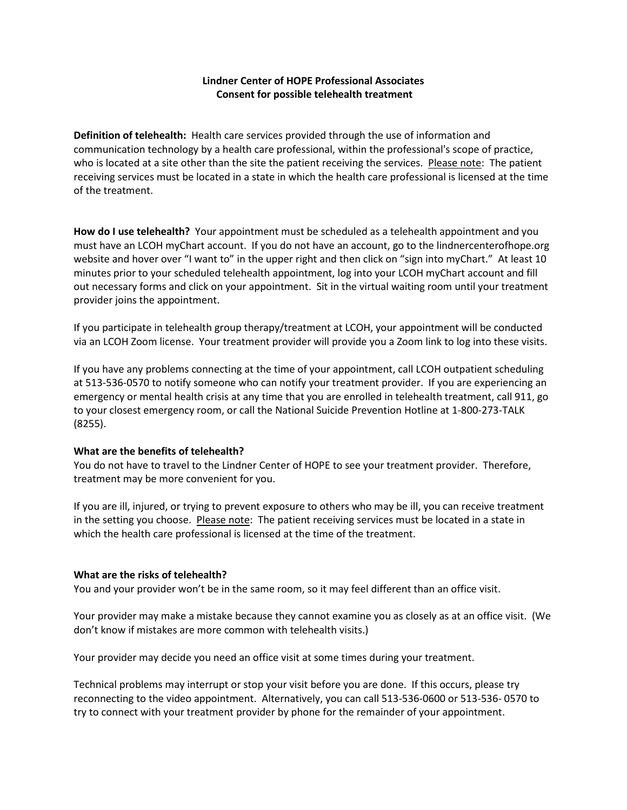## **Lindner Center of HOPE Professional Associates Consent for possible telehealth treatment**

**Definition of telehealth:** Health care services provided through the use of information and communication technology by a health care professional, within the professional's scope of practice, who is located at a site other than the site the patient receiving the services. Please note: The patient receiving services must be located in a state in which the health care professional is licensed at the time of the treatment.

**How do I use telehealth?** Your appointment must be scheduled as a telehealth appointment and you must have an LCOH myChart account. If you do not have an account, go to the lindnercenterofhope.org website and hover over "I want to" in the upper right and then click on "sign into myChart." At least 10 minutes prior to your scheduled telehealth appointment, log into your LCOH myChart account and fill out necessary forms and click on your appointment. Sit in the virtual waiting room until your treatment provider joins the appointment.

If you participate in telehealth group therapy/treatment at LCOH, your appointment will be conducted via an LCOH Zoom license. Your treatment provider will provide you a Zoom link to log into these visits.

If you have any problems connecting at the time of your appointment, call LCOH outpatient scheduling at 513-536-0570 to notify someone who can notify your treatment provider. If you are experiencing an emergency or mental health crisis at any time that you are enrolled in telehealth treatment, call 911, go to your closest emergency room, or call the National Suicide Prevention Hotline at 1-800-273-TALK (8255).

#### **What are the benefits of telehealth?**

You do not have to travel to the Lindner Center of HOPE to see your treatment provider. Therefore, treatment may be more convenient for you.

If you are ill, injured, or trying to prevent exposure to others who may be ill, you can receive treatment in the setting you choose. Please note: The patient receiving services must be located in a state in which the health care professional is licensed at the time of the treatment.

#### **What are the risks of telehealth?**

You and your provider won't be in the same room, so it may feel different than an office visit.

Your provider may make a mistake because they cannot examine you as closely as at an office visit. (We don't know if mistakes are more common with telehealth visits.)

Your provider may decide you need an office visit at some times during your treatment.

Technical problems may interrupt or stop your visit before you are done. If this occurs, please try reconnecting to the video appointment. Alternatively, you can call 513-536-0600 or 513-536- 0570 to try to connect with your treatment provider by phone for the remainder of your appointment.